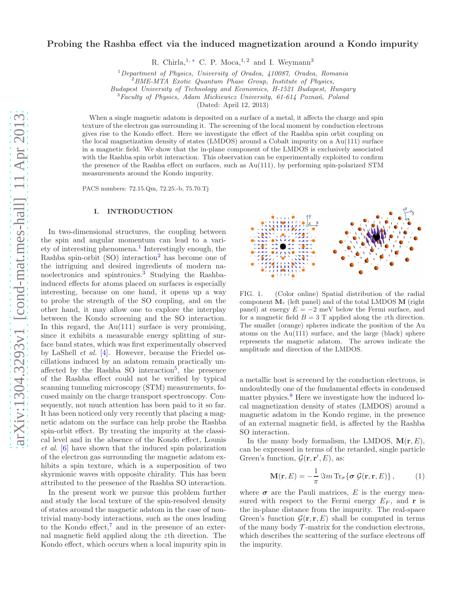# Probing the Rashba effect via the induced magnetization around a Kondo impurity

R. Chirla,<sup>1,\*</sup> C. P. Moca,<sup>1,2</sup> and I. Weymann<sup>3</sup>

<sup>1</sup>Department of Physics, University of Oradea,  $410087$ , Oradea, Romania

Budapest University of Technology and Economics, H-1521 Budapest, Hungary

 $3$ Faculty of Physics, Adam Mickiewicz University, 61-614 Poznań, Poland

(Dated: April 12, 2013)

When a single magnetic adatom is deposited on a surface of a metal, it affects the charge and spin texture of the electron gas surrounding it. The screening of the local moment by conduction electrons gives rise to the Kondo effect. Here we investigate the effect of the Rashba spin orbit coupling on the local magnetization density of states (LMDOS) around a Cobalt impurity on a Au(111) surface in a magnetic field. We show that the in-plane component of the LMDOS is exclusively associated with the Rashba spin orbit interaction. This observation can be experimentally exploited to confirm the presence of the Rashba effect on surfaces, such as Au(111), by performing spin-polarized STM measurements around the Kondo impurity.

PACS numbers: 72.15.Qm, 72.25.-b, 75.70.Tj

### <span id="page-0-2"></span>I. INTRODUCTION

In two-dimensional structures, the coupling between the spin and angular momentum can lead to a vari-ety of interesting phenomena.<sup>[1](#page-6-1)</sup> Interestingly enough, the Rashba spin-orbit  $(SO)$  interaction<sup>[2](#page-6-2)</sup> has become one of the intriguing and desired ingredients of modern na-noelectronics and spintronics.<sup>[3](#page-6-3)</sup> Studying the Rashbainduced effects for atoms placed on surfaces is especially interesting, because on one hand, it opens up a way to probe the strength of the SO coupling, and on the other hand, it may allow one to explore the interplay between the Kondo screening and the SO interaction. In this regard, the Au(111) surface is very promising, since it exhibits a measurable energy splitting of surface band states, which was first experimentally observed by LaShell et al. [\[4](#page-6-4)]. However, because the Friedel oscillations induced by an adatom remain practically un-affected by the Rashba SO interaction<sup>[5](#page-6-5)</sup>, the presence of the Rashba effect could not be verified by typical scanning tunneling microscopy (STM) measurements, focused mainly on the charge transport spectroscopy. Consequently, not much attention has been paid to it so far. It has been noticed only very recently that placing a magnetic adatom on the surface can help probe the Rashba spin-orbit effect. By treating the impurity at the classical level and in the absence of the Kondo effect, Lounis et al. [\[6](#page-6-6)] have shown that the induced spin polarization of the electron gas surrounding the magnetic adatom exhibits a spin texture, which is a superposition of two skyrmionic waves with opposite chirality. This has been attributed to the presence of the Rashba SO interaction.

In the present work we pursue this problem further and study the local texture of the spin-resolved density of states around the magnetic adatom in the case of nontrivial many-body interactions, such as the ones leading to the Kondo effect, $\bar{a}$  and in the presence of an external magnetic field applied along the zth direction. The Kondo effect, which occurs when a local impurity spin in



<span id="page-0-0"></span>FIG. 1. (Color online) Spatial distribution of the radial component  $M_r$  (left panel) and of the total LMDOS M (right) panel) at energy  $E = -2$  meV below the Fermi surface, and for a magnetic field  $B = 3$  T applied along the zth direction. The smaller (orange) spheres indicate the position of the Au atoms on the Au(111) surface, and the large (black) sphere represents the magnetic adatom. The arrows indicate the amplitude and direction of the LMDOS.

a metallic host is screened by the conduction electrons, is undoubtedly one of the fundamental effects in condensed matter physics.<sup>[8](#page-6-8)</sup> Here we investigate how the induced local magnetization density of states (LMDOS) around a magnetic adatom in the Kondo regime, in the presence of an external magnetic field, is affected by the Rashba SO interaction.

In the many body formalism, the LMDOS,  $M(r, E)$ , can be expressed in terms of the retarded, single particle Green's function,  $\mathcal{G}(\mathbf{r}, \mathbf{r}', E)$ , as:

<span id="page-0-1"></span>
$$
\mathbf{M}(\mathbf{r},E) = -\frac{1}{\pi} \Im m \operatorname{Tr}_{\sigma} \{ \sigma \mathcal{G}(\mathbf{r},\mathbf{r},E) \}, \qquad (1)
$$

where  $\sigma$  are the Pauli matrices, E is the energy measured with respect to the Fermi energy  $E_F$ , and r is the in-plane distance from the impurity. The real-space Green's function  $\mathcal{G}(\mathbf{r}, \mathbf{r}, E)$  shall be computed in terms of the many body  $\mathcal T$ -matrix for the conduction electrons, which describes the scattering of the surface electrons off the impurity.

 $^{2}$ BME-MTA Exotic Quantum Phase Group, Institute of Physics,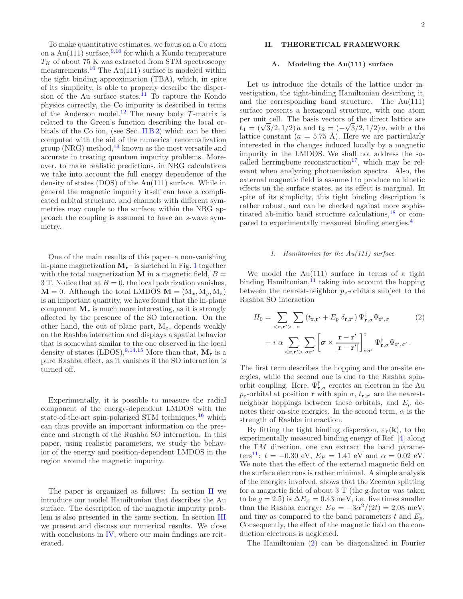To make quantitative estimates, we focus on a Co atom on a Au(111) surface,  $9,10$  $9,10$  for which a Kondo temperature  $T_K$  of about 75 K was extracted from STM spectroscopy measurements.<sup>[10](#page-6-10)</sup> The Au(111) surface is modeled within the tight binding approximation (TBA), which, in spite of its simplicity, is able to properly describe the disper-sion of the Au surface states.<sup>[11](#page-6-11)</sup> To capture the Kondo physics correctly, the Co impurity is described in terms of the Anderson model.<sup>[12](#page-6-12)</sup> The many body  $\mathcal{T}$ -matrix is related to the Green's function describing the local or-bitals of the Co ion, (see Sec. [II B 2\)](#page-3-0) which can be then computed with the aid of the numerical renormalization group (NRG) method, $^{13}$  $^{13}$  $^{13}$  known as the most versatile and accurate in treating quantum impurity problems. Moreover, to make realistic predictions, in NRG calculations we take into account the full energy dependence of the density of states (DOS) of the Au(111) surface. While in general the magnetic impurity itself can have a complicated orbital structure, and channels with different symmetries may couple to the surface, within the NRG approach the coupling is assumed to have an s-wave symmetry.

One of the main results of this paper–a non-vanishing in-plane magnetization  $M_r$ – is sketched in Fig. [1](#page-0-0) together with the total magnetization  $M$  in a magnetic field,  $B =$ 3 T. Notice that at  $B = 0$ , the local polarization vanishes,  $M = 0$ . Although the total LMDOS  $M = (M_x, M_y, M_z)$ is an important quantity, we have found that the in-plane component  $M_r$  is much more interesting, as it is strongly affected by the presence of the SO interaction. On the other hand, the out of plane part,  $M_z$ , depends weakly on the Rashba interaction and displays a spatial behavior that is somewhat similar to the one observed in the local density of states (LDOS),  $9,14,15$  $9,14,15$  $9,14,15$  More than that,  $M_r$  is a pure Rashba effect, as it vanishes if the SO interaction is turned off.

Experimentally, it is possible to measure the radial component of the energy-dependent LMDOS with the state-of-the-art spin-polarized STM techniques, $^{16}$  $^{16}$  $^{16}$  which can thus provide an important information on the presence and strength of the Rashba SO interaction. In this paper, using realistic parameters, we study the behavior of the energy and position-dependent LMDOS in the region around the magnetic impurity.

The paper is organized as follows: In section [II](#page-1-0) we introduce our model Hamiltonian that describes the Au surface. The description of the magnetic impurity problem is also presented in the same section. In section [III](#page-4-0) we present and discuss our numerical results. We close with conclusions in [IV,](#page-5-0) where our main findings are reiterated.

# <span id="page-1-0"></span>II. THEORETICAL FRAMEWORK

#### A. Modeling the Au(111) surface

Let us introduce the details of the lattice under investigation, the tight-binding Hamiltonian describing it, and the corresponding band structure. The Au(111) surface presents a hexagonal structure, with one atom per unit cell. The basis vectors of the direct lattice are  $t_1 = (\sqrt{3}/2, 1/2) a$  and  $t_2 = (-\sqrt{3}/2, 1/2) a$ , with a the lattice constant ( $a = 5.75 \text{ Å}$ ). Here we are particularly interested in the changes induced locally by a magnetic impurity in the LMDOS. We shall not address the so-called herringbone reconstruction<sup>[17](#page-6-17)</sup>, which may be relevant when analyzing photoemission spectra. Also, the external magnetic field is assumed to produce no kinetic effects on the surface states, as its effect is marginal. In spite of its simplicity, this tight binding description is rather robust, and can be checked against more sophisticated ab-initio band structure calculations, $^{18}$  $^{18}$  $^{18}$  or compared to experimentally measured binding energies.[4](#page-6-4)

## 1. Hamiltonian for the Au(111) surface

We model the  $Au(111)$  surface in terms of a tight binding Hamiltonian, $^{11}$  $^{11}$  $^{11}$  taking into account the hopping between the nearest-neighbor  $p_z$ -orbitals subject to the Rashba SO interaction

<span id="page-1-1"></span>
$$
H_0 = \sum_{\langle \mathbf{r}, \mathbf{r}' \rangle} \sum_{\sigma} \left( t_{\mathbf{r}, \mathbf{r}'} + E_p \, \delta_{\mathbf{r}, \mathbf{r}'} \right) \Psi_{\mathbf{r}, \sigma}^{\dagger} \Psi_{\mathbf{r}', \sigma} \qquad (2)
$$

$$
+ i \, \alpha \sum_{\langle \mathbf{r}, \mathbf{r}' \rangle} \sum_{\sigma \sigma'} \left[ \sigma \times \frac{\mathbf{r} - \mathbf{r}'}{|\mathbf{r} - \mathbf{r}'|} \right]_{\sigma \sigma'}^{z} \Psi_{\mathbf{r}, \sigma}^{\dagger} \Psi_{\mathbf{r}', \sigma'} \, .
$$

The first term describes the hopping and the on-site energies, while the second one is due to the Rashba spinorbit coupling. Here,  $\Psi^{\dagger}_{\mathbf{r},\sigma}$  creates an electron in the Au  $p_z$ -orbital at position r with spin  $\sigma$ ,  $t_{\mathbf{r},\mathbf{r}'}$  are the nearestneighbor hoppings between these orbitals, and  $E_p$  denotes their on-site energies. In the second term,  $\alpha$  is the strength of Rashba interaction.

By fitting the tight binding dispersion,  $\varepsilon_{\tau}(\mathbf{k})$ , to the experimentally measured binding energy of Ref. [\[4](#page-6-4)] along the  $\overline{\Gamma}\overline{M}$  direction, one can extract the band parame-ters<sup>[11](#page-6-11)</sup>:  $t = -0.30 \text{ eV}, E_P = 1.41 \text{ eV}$  and  $\alpha = 0.02 \text{ eV}$ . We note that the effect of the external magnetic field on the surface electrons is rather minimal. A simple analysis of the energies involved, shows that the Zeeman splitting for a magnetic field of about 3 T (the g-factor was taken to be  $g = 2.5$ ) is  $\Delta E_Z = 0.43$  meV, i.e. five times smaller than the Rashba energy:  $E_R = -3\alpha^2/(2t) = 2.08$  meV, and tiny as compared to the band parameters t and  $E_n$ . Consequently, the effect of the magnetic field on the conduction electrons is neglected.

The Hamiltonian [\(2\)](#page-1-1) can be diagonalized in Fourier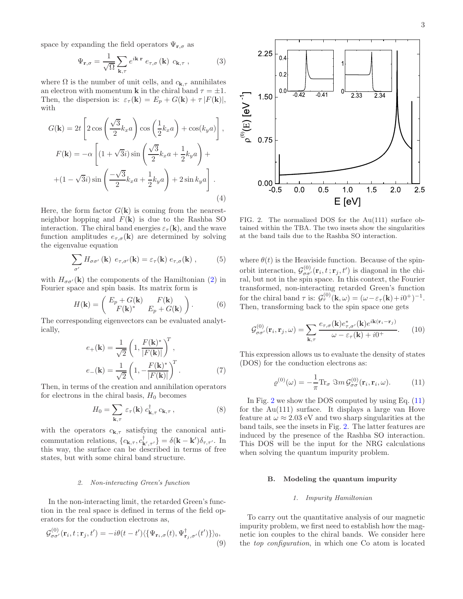space by expanding the field operators  $\Psi_{\mathbf{r},\sigma}$  as

$$
\Psi_{\mathbf{r},\sigma} = \frac{1}{\sqrt{\Omega}} \sum_{\mathbf{k},\tau} e^{i\mathbf{k}\cdot\mathbf{r}} \, e_{\tau,\sigma}(\mathbf{k}) \, c_{\mathbf{k},\tau} \,, \tag{3}
$$

where  $\Omega$  is the number of unit cells, and  $c_{\mathbf{k},\tau}$  annihilates an electron with momentum **k** in the chiral band  $\tau = \pm 1$ . Then, the dispersion is:  $\varepsilon_{\tau}(\mathbf{k}) = E_p + G(\mathbf{k}) + \tau |F(\mathbf{k})|$ , with

$$
G(\mathbf{k}) = 2t \left[ 2 \cos \left( \frac{\sqrt{3}}{2} k_x a \right) \cos \left( \frac{1}{2} k_x a \right) + \cos(k_y a) \right],
$$
  

$$
F(\mathbf{k}) = -\alpha \left[ (1 + \sqrt{3}i) \sin \left( \frac{\sqrt{3}}{2} k_x a + \frac{1}{2} k_y a \right) + \right.
$$
  

$$
+ (1 - \sqrt{3}i) \sin \left( \frac{-\sqrt{3}}{2} k_x a + \frac{1}{2} k_y a \right) + 2 \sin k_y a \right].
$$
  
(4)

Here, the form factor  $G(\mathbf{k})$  is coming from the nearestneighbor hopping and  $F(\mathbf{k})$  is due to the Rashba SO interaction. The chiral band energies  $\varepsilon_{\tau}(\mathbf{k})$ , and the wave function amplitudes  $e_{\tau,\sigma}(\mathbf{k})$  are determined by solving the eigenvalue equation

$$
\sum_{\sigma'} H_{\sigma\sigma'}(\mathbf{k}) e_{\tau,\sigma'}(\mathbf{k}) = \varepsilon_{\tau}(\mathbf{k}) e_{\tau,\sigma}(\mathbf{k}), \qquad (5)
$$

with  $H_{\sigma\sigma'}(\mathbf{k})$  the components of the Hamiltonian [\(2\)](#page-1-1) in Fourier space and spin basis. Its matrix form is

$$
H(\mathbf{k}) = \begin{pmatrix} E_p + G(\mathbf{k}) & F(\mathbf{k}) \\ F(\mathbf{k})^* & E_p + G(\mathbf{k}) \end{pmatrix}.
$$
 (6)

The corresponding eigenvectors can be evaluated analytically,

<span id="page-2-2"></span>
$$
e_{+}(\mathbf{k}) = \frac{1}{\sqrt{2}} \left( 1, \frac{F(\mathbf{k})^*}{|F(\mathbf{k})|} \right)^T,
$$
  
\n
$$
e_{-}(\mathbf{k}) = \frac{1}{\sqrt{2}} \left( 1, -\frac{F(\mathbf{k})^*}{|F(\mathbf{k})|} \right)^T.
$$
 (7)

Then, in terms of the creation and annihilation operators for electrons in the chiral basis,  $H_0$  becomes

$$
H_0 = \sum_{\mathbf{k},\tau} \varepsilon_\tau(\mathbf{k}) \ c_{\mathbf{k},\tau}^\dagger \ c_{\mathbf{k},\tau} \,, \tag{8}
$$

with the operators  $c_{\mathbf{k},\tau}$  satisfying the canonical anticommutation relations,  ${c_{\mathbf{k},\tau}, c_{\mathbf{k}',\tau'}^{\dagger}} = \delta(\mathbf{k} - \mathbf{k}')\delta_{\tau,\tau'}.$  In this way, the surface can be described in terms of free states, but with some chiral band structure.

#### 2. Non-interacting Green's function

In the non-interacting limit, the retarded Green's function in the real space is defined in terms of the field operators for the conduction electrons as,

$$
\mathcal{G}^{(0)}_{\sigma\sigma'}(\mathbf{r}_i, t; \mathbf{r}_j, t') = -i\theta(t - t') \langle \{\Psi_{\mathbf{r}_i, \sigma}(t), \Psi^{\dagger}_{\mathbf{r}_j, \sigma'}(t')\} \rangle_0, \tag{9}
$$



<span id="page-2-0"></span>FIG. 2. The normalized DOS for the Au(111) surface obtained within the TBA. The two insets show the singularities at the band tails due to the Rashba SO interaction.

where  $\theta(t)$  is the Heaviside function. Because of the spinorbit interaction,  $\mathcal{G}^{(0)}_{\sigma\sigma'}(\mathbf{r}_i, t; \mathbf{r}_j, t')$  is diagonal in the chiral, but not in the spin space. In this context, the Fourier transformed, non-interacting retarded Green's function for the chiral band  $\tau$  is:  $\mathcal{G}_{\tau}^{(0)}(\mathbf{k}, \omega) = (\omega - \varepsilon_{\tau}(\mathbf{k}) + i0^{+})^{-1}$ . Then, transforming back to the spin space one gets

$$
\mathcal{G}^{(0)}_{\sigma\sigma'}(\mathbf{r}_i, \mathbf{r}_j, \omega) = \sum_{\mathbf{k}, \tau} \frac{e_{\tau, \sigma}(\mathbf{k}) e^*_{\tau, \sigma'}(\mathbf{k}) e^{i\mathbf{k}(\mathbf{r}_i - \mathbf{r}_j)}}{\omega - \varepsilon_\tau(\mathbf{k}) + i0^+}.
$$
 (10)

This expression allows us to evaluate the density of states (DOS) for the conduction electrons as:

<span id="page-2-1"></span>
$$
\varrho^{(0)}(\omega) = -\frac{1}{\pi} \text{Tr}_{\sigma} \ \Im m \, \mathcal{G}^{(0)}_{\sigma\sigma}(\mathbf{r}_i, \mathbf{r}_i, \omega). \tag{11}
$$

In Fig. [2](#page-2-0) we show the DOS computed by using Eq. [\(11\)](#page-2-1) for the Au(111) surface. It displays a large van Hove feature at  $\omega \approx 2.03$  eV and two sharp singularities at the band tails, see the insets in Fig. [2.](#page-2-0) The latter features are induced by the presence of the Rashba SO interaction. This DOS will be the input for the NRG calculations when solving the quantum impurity problem.

#### B. Modeling the quantum impurity

#### 1. Impurity Hamiltonian

To carry out the quantitative analysis of our magnetic impurity problem, we first need to establish how the magnetic ion couples to the chiral bands. We consider here the top configuration, in which one Co atom is located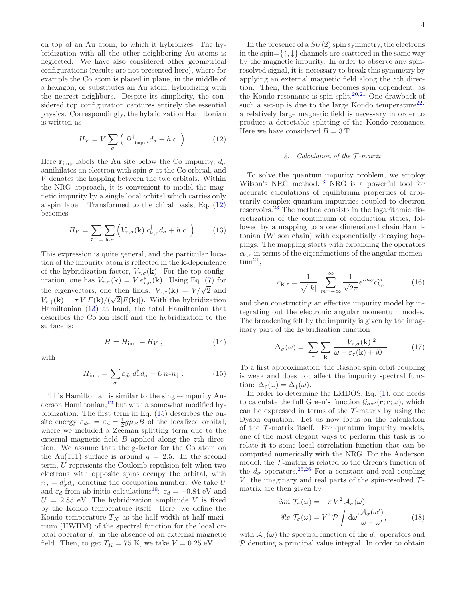on top of an Au atom, to which it hybridizes. The hybridization with all the other neighboring Au atoms is neglected. We have also considered other geometrical configurations (results are not presented here), where for example the Co atom is placed in plane, in the middle of a hexagon, or substitutes an Au atom, hybridizing with the nearest neighbors. Despite its simplicity, the considered top configuration captures entirely the essential physics. Correspondingly, the hybridization Hamiltonian is written as

<span id="page-3-1"></span>
$$
H_V = V \sum_{\sigma} \left( \Psi_{\mathbf{r}_{\text{imp}},\sigma}^{\dagger} d_{\sigma} + h.c. \right). \tag{12}
$$

Here  $\mathbf{r}_{\text{imp}}$  labels the Au site below the Co impurity,  $d_{\sigma}$ annihilates an electron with spin  $\sigma$  at the Co orbital, and V denotes the hopping between the two orbitals. Within the NRG approach, it is convenient to model the magnetic impurity by a single local orbital which carries only a spin label. Transformed to the chiral basis, Eq. [\(12\)](#page-3-1) becomes

<span id="page-3-2"></span>
$$
H_V = \sum_{\tau=\pm} \sum_{\mathbf{k},\sigma} \left( V_{\tau,\sigma}(\mathbf{k}) \ c_{\mathbf{k},\tau}^{\dagger} d_{\sigma} + h.c. \ \right). \tag{13}
$$

This expression is quite general, and the particular location of the impurity atom is reflected in the k-dependence of the hybridization factor,  $V_{\tau,\sigma}(\mathbf{k})$ . For the top configuration, one has  $V_{\tau,\sigma}(\mathbf{k}) = V e^*_{\tau,\sigma}(\mathbf{k})$ . Using Eq. [\(7\)](#page-2-2) for the eigenvectors, one then finds:  $V_{\tau,\uparrow}(\mathbf{k}) = V/\sqrt{2}$  and  $V_{\tau,\downarrow}(\mathbf{k}) = \tau V F(\mathbf{k})/(\sqrt{2}|F(\mathbf{k})|)$ . With the hybridization Hamiltonian [\(13\)](#page-3-2) at hand, the total Hamiltonian that describes the Co ion itself and the hybridization to the surface is:

$$
H = H_{\rm imp} + H_V \,,\tag{14}
$$

with

<span id="page-3-3"></span>
$$
H_{\rm imp} = \sum_{\sigma} \varepsilon_{d\sigma} d_{\sigma}^{\dagger} d_{\sigma} + U n_{\uparrow} n_{\downarrow} . \tag{15}
$$

This Hamiltonian is similar to the single-impurity Anderson Hamiltonian, $^{12}$  $^{12}$  $^{12}$  but with a somewhat modified hybridization. The first term in Eq. [\(15\)](#page-3-3) describes the onsite energy  $\varepsilon_{d\sigma} = \varepsilon_d \pm \frac{1}{2} g \mu_B B$  of the localized orbital, where we included a Zeeman splitting term due to the external magnetic field  $B$  applied along the  $z$ th direction. We assume that the g-factor for the Co atom on the Au(111) surface is around  $q = 2.5$ . In the second term, U represents the Coulomb repulsion felt when two electrons with opposite spins occupy the orbital, with  $n_{\sigma} = d_{\sigma}^{\dagger} d_{\sigma}$  denoting the occupation number. We take U and  $\varepsilon_d$  from ab-initio calculations<sup>[19](#page-6-19)</sup>:  $\varepsilon_d = -0.84$  eV and  $U = 2.85$  eV. The hybridization amplitude V is fixed by the Kondo temperature itself. Here, we define the Kondo temperature  $T_K$  as the half width at half maximum (HWHM) of the spectral function for the local orbital operator  $d_{\sigma}$  in the absence of an external magnetic field. Then, to get  $T_K = 75$  K, we take  $V = 0.25$  eV.

In the presence of a  $SU(2)$  spin symmetry, the electrons in the spin= $\{\uparrow,\downarrow\}$  channels are scattered in the same way by the magnetic impurity. In order to observe any spinresolved signal, it is necessary to break this symmetry by applying an external magnetic field along the zth direction. Then, the scattering becomes spin dependent, as the Kondo resonance is spin-split.<sup>[20](#page-6-20)[,21](#page-6-21)</sup> One drawback of such a set-up is due to the large Kondo temperature<sup>[22](#page-6-22)</sup>: a relatively large magnetic field is necessary in order to produce a detectable splitting of the Kondo resonance. Here we have considered  $B = 3$  T.

## <span id="page-3-0"></span>2. Calculation of the  $\mathcal{T}$ -matrix

To solve the quantum impurity problem, we employ Wilson's NRG method.<sup>[13](#page-6-13)</sup> NRG is a powerful tool for accurate calculations of equilibrium properties of arbitrarily complex quantum impurities coupled to electron reservoirs.[23](#page-6-23) The method consists in the logarithmic discretization of the continuum of conduction states, followed by a mapping to a one dimensional chain Hamiltonian (Wilson chain) with exponentially decaying hoppings. The mapping starts with expanding the operators  $c_{\mathbf{k},\tau}$  in terms of the eigenfunctions of the angular momen- $\text{tum}^{\mathbf{24}},$  $\text{tum}^{\mathbf{24}},$  $\text{tum}^{\mathbf{24}},$ 

$$
c_{\mathbf{k},\tau} = \frac{1}{\sqrt{|k|}} \sum_{m=-\infty}^{\infty} \frac{1}{\sqrt{2\pi}} e^{im\phi} c_{k,\tau}^m
$$
 (16)

and then constructing an effective impurity model by integrating out the electronic angular momentum modes. The broadening felt by the impurity is given by the imaginary part of the hybridization function

$$
\Delta_{\sigma}(\omega) = \sum_{\tau} \sum_{\mathbf{k}} \frac{|V_{\tau,\sigma}(\mathbf{k})|^2}{\omega - \varepsilon_{\tau}(\mathbf{k}) + i0^+}.
$$
 (17)

To a first approximation, the Rashba spin orbit coupling is weak and does not affect the impurity spectral function:  $\Delta_{\uparrow}(\omega) = \Delta_{\perp}(\omega)$ .

In order to determine the LMDOS, Eq. [\(1\)](#page-0-1), one needs to calculate the full Green's function  $\mathcal{G}_{\sigma\sigma'}(\mathbf{r};\mathbf{r};\omega)$ , which can be expressed in terms of the  $\mathcal{T}$ -matrix by using the Dyson equation. Let us now focus on the calculation of the  $\mathcal{T}$ -matrix itself. For quantum impurity models, one of the most elegant ways to perform this task is to relate it to some local correlation function that can be computed numerically with the NRG. For the Anderson model, the  $\mathcal{T}$ -matrix is related to the Green's function of the  $d_{\sigma}$  operators.<sup>[25,](#page-6-25)[26](#page-6-26)</sup> For a constant and real coupling V, the imaginary and real parts of the spin-resolved  $\mathcal{T}$ matrix are then given by

$$
\Im m \ \mathcal{T}_{\sigma}(\omega) = -\pi V^2 \mathcal{A}_{\sigma}(\omega),
$$
  

$$
\Re e \ \mathcal{T}_{\sigma}(\omega) = V^2 \mathcal{P} \int d\omega' \frac{\mathcal{A}_{\sigma}(\omega')}{\omega - \omega'}, \tag{18}
$$

with  $A_{\sigma}(\omega)$  the spectral function of the  $d_{\sigma}$  operators and  $P$  denoting a principal value integral. In order to obtain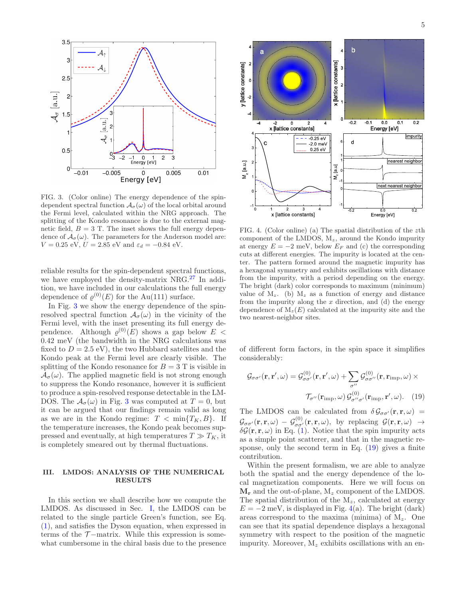

<span id="page-4-1"></span>FIG. 3. (Color online) The energy dependence of the spindependent spectral function  $\mathcal{A}_{\sigma}(\omega)$  of the local orbital around the Fermi level, calculated within the NRG approach. The splitting of the Kondo resonance is due to the external magnetic field,  $B = 3$  T. The inset shows the full energy dependence of  $A_{\sigma}(\omega)$ . The parameters for the Anderson model are:  $V = 0.25$  eV,  $U = 2.85$  eV and  $\varepsilon_d = -0.84$  eV.

reliable results for the spin-dependent spectral functions, we have employed the density-matrix NRG.[27](#page-6-27) In addition, we have included in our calculations the full energy dependence of  $\varrho^{(0)}(E)$  for the Au(111) surface.

In Fig. [3](#page-4-1) we show the energy dependence of the spinresolved spectral function  $\mathcal{A}_{\sigma}(\omega)$  in the vicinity of the Fermi level, with the inset presenting its full energy dependence. Although  $\varrho^{(0)}(E)$  shows a gap below  $E$  < 0.42 meV (the bandwidth in the NRG calculations was fixed to  $D = 2.5$  eV), the two Hubbard satellites and the Kondo peak at the Fermi level are clearly visible. The splitting of the Kondo resonance for  $B = 3$  T is visible in  $\mathcal{A}_{\sigma}(\omega)$ . The applied magnetic field is not strong enough to suppress the Kondo resonance, however it is sufficient to produce a spin-resolved response detectable in the LM-DOS. The  $A_{\sigma}(\omega)$  in Fig. [3](#page-4-1) was computed at  $T = 0$ , but it can be argued that our findings remain valid as long as we are in the Kondo regime:  $T < \min\{T_K, B\}$ . If the temperature increases, the Kondo peak becomes suppressed and eventually, at high temperatures  $T \gg T_K$ , it is completely smeared out by thermal fluctuations.

### <span id="page-4-0"></span>III. LMDOS: ANALYSIS OF THE NUMERICAL RESULTS

In this section we shall describe how we compute the LMDOS. As discussed in Sec. [I,](#page-0-2) the LMDOS can be related to the single particle Green's function, see Eq. [\(1\)](#page-0-1), and satisfies the Dyson equation, when expressed in terms of the  $\mathcal{T}$ -matrix. While this expression is somewhat cumbersome in the chiral basis due to the presence



<span id="page-4-3"></span>FIG. 4. (Color online) (a) The spatial distribution of the zth component of the LMDOS,  $M_z$ , around the Kondo impurity at energy  $E = -2$  meV, below  $E_F$  and (c) the corresponding cuts at different energies. The impurity is located at the center. The pattern formed around the magnetic impurity has a hexagonal symmetry and exhibits oscillations with distance from the impurity, with a period depending on the energy. The bright (dark) color corresponds to maximum (minimum) value of  $M_z$ . (b)  $M_z$  as a function of energy and distance from the impurity along the  $x$  direction, and (d) the energy dependence of  $M_z(E)$  calculated at the impurity site and the two nearest-neighbor sites.

of different form factors, in the spin space it simplifies considerably:

<span id="page-4-2"></span>
$$
\mathcal{G}_{\sigma\sigma'}(\mathbf{r}, \mathbf{r}', \omega) = \mathcal{G}_{\sigma\sigma'}^{(0)}(\mathbf{r}, \mathbf{r}', \omega) + \sum_{\sigma''} \mathcal{G}_{\sigma\sigma''}^{(0)}(\mathbf{r}, \mathbf{r}_{\text{imp}}, \omega) \times
$$

$$
\mathcal{T}_{\sigma''}(\mathbf{r}_{\text{imp}}, \omega) \mathcal{G}_{\sigma''\sigma'}^{(0)}(\mathbf{r}_{\text{imp}}, \mathbf{r}', \omega). \quad (19)
$$

The LMDOS can be calculated from  $\delta \mathcal{G}_{\sigma \sigma'}(\mathbf{r}, \mathbf{r}, \omega)$  =  $\mathcal{G}_{\sigma\sigma'}(\mathbf{r},\mathbf{r},\omega) = \mathcal{G}_{\sigma\sigma'}^{(0)}(\mathbf{r},\mathbf{r},\omega)$ , by replacing  $\mathcal{G}(\mathbf{r},\mathbf{r},\omega) \rightarrow$  $\delta \mathcal{G}(\mathbf{r}, \mathbf{r}, \omega)$  in Eq. [\(1\)](#page-0-1). Notice that the spin impurity acts as a simple point scatterer, and that in the magnetic response, only the second term in Eq. [\(19\)](#page-4-2) gives a finite contribution.

Within the present formalism, we are able to analyze both the spatial and the energy dependence of the local magnetization components. Here we will focus on  $M_r$  and the out-of-plane,  $M_z$  component of the LMDOS. The spatial distribution of the  $M_z$ , calculated at energy  $E = -2$  meV, is displayed in Fig. [4\(](#page-4-3)a). The bright (dark) areas correspond to the maxima (minima) of  $M_z$ . One can see that its spatial dependence displays a hexagonal symmetry with respect to the position of the magnetic impurity. Moreover,  $M_z$  exhibits oscillations with an en-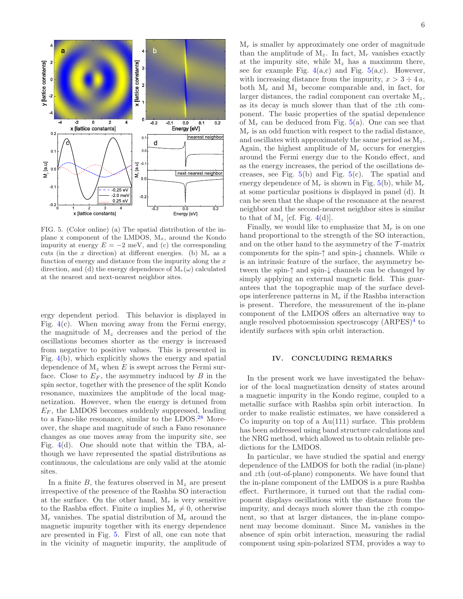

<span id="page-5-1"></span>FIG. 5. (Color online) (a) The spatial distribution of the inplane x component of the LMDOS,  $M_x$ , around the Kondo impurity at energy  $E = -2$  meV, and (c) the corresponding cuts (in the x direction) at different energies. (b)  $M_r$  as a function of energy and distance from the impurity along the  $x$ direction, and (d) the energy dependence of  $M_r(\omega)$  calculated at the nearest and next-nearest neighbor sites.

ergy dependent period. This behavior is displayed in Fig.  $4(c)$  $4(c)$ . When moving away from the Fermi energy, the magnitude of  $M_z$  decreases and the period of the oscillations becomes shorter as the energy is increased from negative to positive values. This is presented in Fig. [4\(](#page-4-3)b), which explicitly shows the energy and spatial dependence of  $M_z$  when E is swept across the Fermi surface. Close to  $E_F$ , the asymmetry induced by B in the spin sector, together with the presence of the split Kondo resonance, maximizes the amplitude of the local magnetization. However, when the energy is detuned from  $E_F$ , the LMDOS becomes suddenly suppressed, leading to a Fano-like resonance, similar to the LDOS.[28](#page-6-28) Moreover, the shape and magnitude of such a Fano resonance changes as one moves away from the impurity site, see Fig. [4\(](#page-4-3)d). One should note that within the TBA, although we have represented the spatial distributions as continuous, the calculations are only valid at the atomic sites.

In a finite  $B$ , the features observed in  $M_z$  are present irrespective of the presence of the Rashba SO interaction at the surface. On the other hand,  $M_r$  is very sensitive to the Rashba effect. Finite  $\alpha$  implies  $M_r \neq 0$ , otherwise  $M_r$  vanishes. The spatial distribution of  $M_r$  around the magnetic impurity together with its energy dependence are presented in Fig. [5.](#page-5-1) First of all, one can note that in the vicinity of magnetic impurity, the amplitude of

 $M_r$  is smaller by approximately one order of magnitude than the amplitude of  $M_z$ . In fact,  $M_r$  vanishes exactly at the impurity site, while  $M_z$  has a maximum there, see for example Fig.  $4(a,c)$  $4(a,c)$  and Fig.  $5(a,c)$  $5(a,c)$ . However, with increasing distance from the impurity,  $x > 3 \div 4a$ , both  $M_r$  and  $M_z$  become comparable and, in fact, for larger distances, the radial component can overtake  $M_z$ , as its decay is much slower than that of the zth component. The basic properties of the spatial dependence of  $M_r$  can be deduced from Fig.  $5(a)$  $5(a)$ . One can see that  $M_r$  is an odd function with respect to the radial distance, and oscillates with approximately the same period as  $M_z$ . Again, the highest amplitude of  $M_r$  occurs for energies around the Fermi energy due to the Kondo effect, and as the energy increases, the period of the oscillations decreases, see Fig.  $5(b)$  $5(b)$  and Fig.  $5(c)$ . The spatial and energy dependence of  $M_r$  is shown in Fig. [5\(](#page-5-1)b), while  $M_r$ at some particular positions is displayed in panel (d). It can be seen that the shape of the resonance at the nearest neighbor and the second-nearest neighbor sites is similar

Finally, we would like to emphasize that  $M_r$  is on one hand proportional to the strength of the SO interaction, and on the other hand to the asymmetry of the  $\mathcal{T}$ -matrix components for the spin- $\uparrow$  and spin- $\downarrow$  channels. While  $\alpha$ is an intrinsic feature of the surface, the asymmetry between the spin-↑ and spin-↓ channels can be changed by simply applying an external magnetic field. This guarantees that the topographic map of the surface develops interference patterns in  $M_r$  if the Rashba interaction is present. Therefore, the measurement of the in-plane component of the LMDOS offers an alternative way to angle resolved photoemission spectroscopy  $(ARPES)^4$  $(ARPES)^4$  to identify surfaces with spin orbit interaction.

to that of  $M_z$  [cf. Fig. [4\(](#page-4-3)d)].

## <span id="page-5-0"></span>IV. CONCLUDING REMARKS

In the present work we have investigated the behavior of the local magnetization density of states around a magnetic impurity in the Kondo regime, coupled to a metallic surface with Rashba spin orbit interaction. In order to make realistic estimates, we have considered a Co impurity on top of a Au(111) surface. This problem has been addressed using band structure calculations and the NRG method, which allowed us to obtain reliable predictions for the LMDOS.

In particular, we have studied the spatial and energy dependence of the LMDOS for both the radial (in-plane) and zth (out-of-plane) components. We have found that the in-plane component of the LMDOS is a pure Rashba effect. Furthermore, it turned out that the radial component displays oscillations with the distance from the impurity, and decays much slower than the zth component, so that at larger distances, the in-plane component may become dominant. Since  $M_r$  vanishes in the absence of spin orbit interaction, measuring the radial component using spin-polarized STM, provides a way to